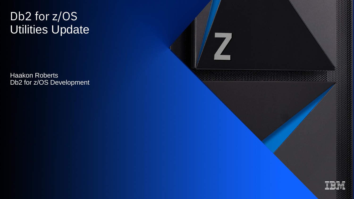### Db2 for z/OS Utilities Update

Haakon Roberts Db2 for z/OS Development

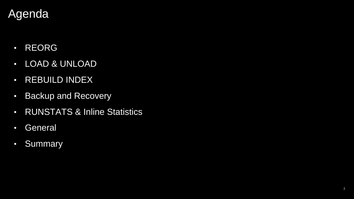# Agenda

- REORG
- LOAD & UNLOAD
- REBUILD INDEX
- Backup and Recovery
- RUNSTATS & Inline Statistics
- General
- Summary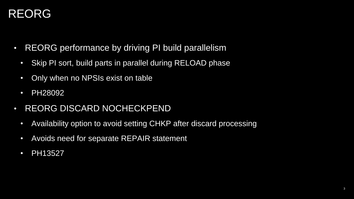- REORG performance by driving PI build parallelism
	- Skip PI sort, build parts in parallel during RELOAD phase
	- Only when no NPSIs exist on table
	- PH28092
- REORG DISCARD NOCHECKPEND
	- Availability option to avoid setting CHKP after discard processing
	- Avoids need for separate REPAIR statement
	- PH13527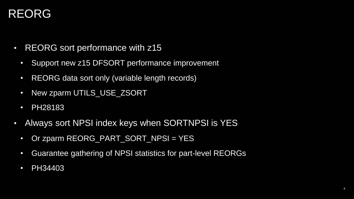- REORG sort performance with z15
	- Support new z15 DFSORT performance improvement
	- REORG data sort only (variable length records)
	- New zparm UTILS\_USE\_ZSORT
	- PH28183
- Always sort NPSI index keys when SORTNPSI is YES
	- Or zparm REORG\_PART\_SORT\_NPSI = YES
	- Guarantee gathering of NPSI statistics for part-level REORGs
	- PH34403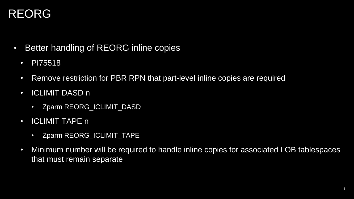- Better handling of REORG inline copies
	- PI75518
	- Remove restriction for PBR RPN that part-level inline copies are required
	- ICLIMIT DASD n
		- Zparm REORG\_ICLIMIT\_DASD
	- ICLIMIT TAPE n
		- Zparm REORG\_ICLIMIT\_TAPE
	- Minimum number will be required to handle inline copies for associated LOB tablespaces that must remain separate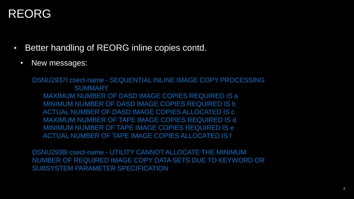- Better handling of REORG inline copies contd.
	- New messages:

DSNU2937I csect-name - SEQUENTIAL INLINE IMAGE COPY PROCESSING **SUMMARY** MAXIMUM NUMBER OF DASD IMAGE COPIES REQUIRED IS a MINIMUM NUMBER OF DASD IMAGE COPIES REQUIRED IS b ACTUAL NUMBER OF DASD IMAGE COPIES ALLOCATED IS c MAXIMUM NUMBER OF TAPE IMAGE COPIES REQUIRED IS d MINIMUM NUMBER OF TAPE IMAGE COPIES REQUIRED IS e ACTUAL NUMBER OF TAPE IMAGE COPIES ALLOCATED IS f

DSNU2938I csect-name - UTILITY CANNOT ALLOCATE THE MINIMUM NUMBER OF REQUIRED IMAGE COPY DATA SETS DUE TO KEYWORD OR SUBSYSTEM PARAMETER SPECIFICATION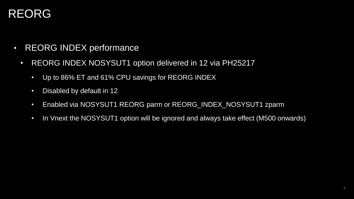- REORG INDEX performance
	- REORG INDEX NOSYSUT1 option delivered in 12 via PH25217
		- Up to 86% ET and 61% CPU savings for REORG INDEX
		- Disabled by default in 12
		- Enabled via NOSYSUT1 REORG parm or REORG\_INDEX\_NOSYSUT1 zparm
		- In Vnext the NOSYSUT1 option will be ignored and always take effect (M500 onwards)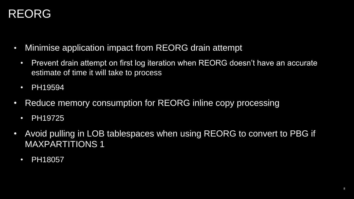- Minimise application impact from REORG drain attempt
	- Prevent drain attempt on first log iteration when REORG doesn't have an accurate estimate of time it will take to process
	- PH19594
- Reduce memory consumption for REORG inline copy processing
	- PH19725
- Avoid pulling in LOB tablespaces when using REORG to convert to PBG if MAXPARTITIONS 1
	- PH18057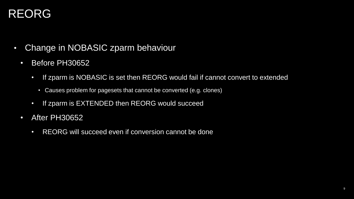- Change in NOBASIC zparm behaviour
	- Before PH30652
		- If zparm is NOBASIC is set then REORG would fail if cannot convert to extended
			- Causes problem for pagesets that cannot be converted (e.g. clones)
		- If zparm is EXTENDED then REORG would succeed
	- After PH30652
		- REORG will succeed even if conversion cannot be done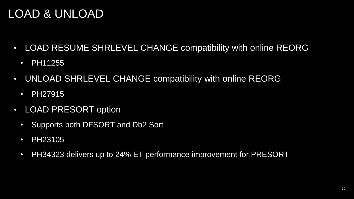- LOAD RESUME SHRLEVEL CHANGE compatibility with online REORG
	- PH11255
- UNLOAD SHRLEVEL CHANGE compatibility with online REORG
	- PH27915
- LOAD PRESORT option
	- Supports both DFSORT and Db2 Sort
	- PH23105
	- PH34323 delivers up to 24% ET performance improvement for PRESORT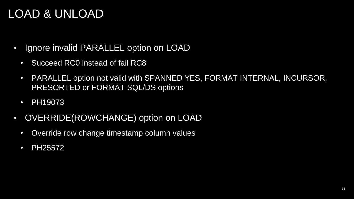- Ignore invalid PARALLEL option on LOAD
	- Succeed RC0 instead of fail RC8
	- PARALLEL option not valid with SPANNED YES, FORMAT INTERNAL, INCURSOR, PRESORTED or FORMAT SQL/DS options
	- PH19073
- OVERRIDE(ROWCHANGE) option on LOAD
	- Override row change timestamp column values
	- PH25572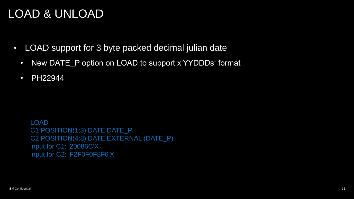- LOAD support for 3 byte packed decimal julian date
	- New DATE P option on LOAD to support x'YYDDDs' format
	- PH22944

LOAD C1 POSITION(1:3) DATE DATE\_P C2 POSITION(4:8) DATE EXTERNAL (DATE\_P) input for C1: '20086C'X input for C2: 'F2F0F0F8F6'X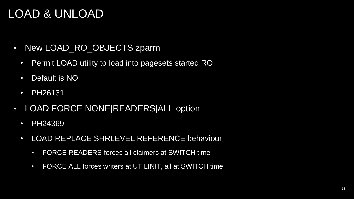- New LOAD RO OBJECTS zparm
	- Permit LOAD utility to load into pagesets started RO
	- Default is NO
	- PH26131
- LOAD FORCE NONE|READERS|ALL option
	- PH24369
	- LOAD REPLACE SHRLEVEL REFERENCE behaviour:
		- FORCE READERS forces all claimers at SWITCH time
		- FORCE ALL forces writers at UTILINIT, all at SWITCH time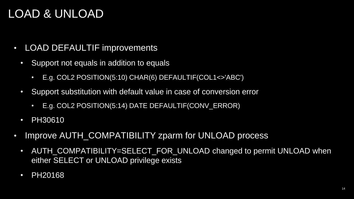- LOAD DEFAULTIF improvements
	- Support not equals in addition to equals
		- E.g. COL2 POSITION(5:10) CHAR(6) DEFAULTIF(COL1<>'ABC')
	- Support substitution with default value in case of conversion error
		- E.g. COL2 POSITION(5:14) DATE DEFAULTIF(CONV\_ERROR)
	- **PH30610**
- Improve AUTH COMPATIBILITY zparm for UNLOAD process
	- AUTH\_COMPATIBILITY=SELECT\_FOR\_UNLOAD changed to permit UNLOAD when either SELECT or UNLOAD privilege exists
	- PH20168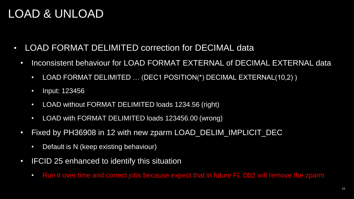- LOAD FORMAT DELIMITED correction for DECIMAL data
	- Inconsistent behaviour for LOAD FORMAT EXTERNAL of DECIMAL EXTERNAL data
		- LOAD FORMAT DELIMITED ... (DEC1 POSITION(\*) DECIMAL EXTERNAL(10,2))
		- Input: 123456
		- LOAD without FORMAT DELIMITED loads 1234.56 (right)
		- LOAD with FORMAT DELIMITED loads 123456.00 (wrong)
	- Fixed by PH36908 in 12 with new zparm LOAD\_DELIM\_IMPLICIT\_DEC
		- Default is N (keep existing behaviour)
	- IFCID 25 enhanced to identify this situation
		- Run it over time and correct jobs because expect that in future FL Db2 will remove the zparm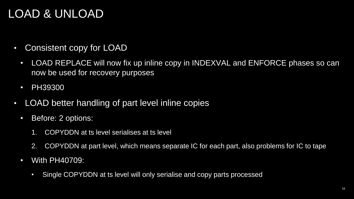- Consistent copy for LOAD
	- LOAD REPLACE will now fix up inline copy in INDEXVAL and ENFORCE phases so can now be used for recovery purposes
	- PH39300
- LOAD better handling of part level inline copies
	- Before: 2 options:
		- 1. COPYDDN at ts level serialises at ts level
		- 2. COPYDDN at part level, which means separate IC for each part, also problems for IC to tape
	- With PH40709:
		- Single COPYDDN at ts level will only serialise and copy parts processed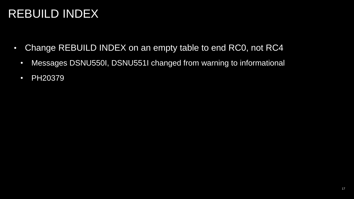## REBUILD INDEX

- Change REBUILD INDEX on an empty table to end RC0, not RC4
	- Messages DSNU550I, DSNU551I changed from warning to informational
	- PH20379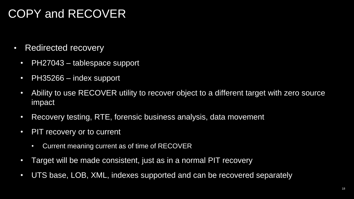## COPY and RECOVER

- Redirected recovery
	- PH27043 tablespace support
	- PH35266 index support
	- Ability to use RECOVER utility to recover object to a different target with zero source impact
	- Recovery testing, RTE, forensic business analysis, data movement
	- PIT recovery or to current
		- Current meaning current as of time of RECOVER
	- Target will be made consistent, just as in a normal PIT recovery
	- UTS base, LOB, XML, indexes supported and can be recovered separately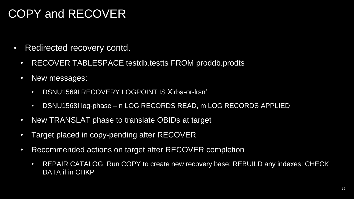### COPY and RECOVER

- Redirected recovery contd.
	- RECOVER TABLESPACE testdb.testts FROM proddb.prodts
	- New messages:
		- DSNU1569I RECOVERY LOGPOINT IS X'rba-or-lrsn'
		- DSNU1568I log-phase n LOG RECORDS READ, m LOG RECORDS APPLIED
	- New TRANSLAT phase to translate OBIDs at target
	- Target placed in copy-pending after RECOVER
	- Recommended actions on target after RECOVER completion
		- REPAIR CATALOG; Run COPY to create new recovery base; REBUILD any indexes; CHECK DATA if in CHKP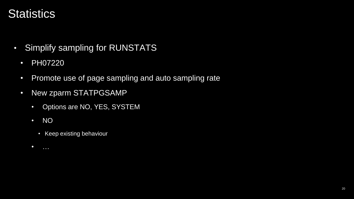- Simplify sampling for RUNSTATS
	- PH07220
	- Promote use of page sampling and auto sampling rate
	- New zparm STATPGSAMP
		- Options are NO, YES, SYSTEM
		- NO
			- Keep existing behaviour
		- $\bullet$  ……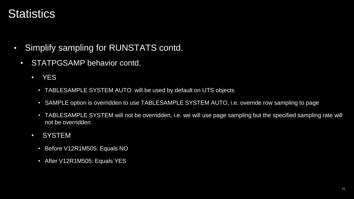- Simplify sampling for RUNSTATS contd.
	- STATPGSAMP behavior contd.
		- YES
			- TABLESAMPLE SYSTEM AUTO will be used by default on UTS objects
			- SAMPLE option is overridden to use TABLESAMPLE SYSTEM AUTO, i.e. override row sampling to page
			- TABLESAMPLE SYSTEM will not be overridden, i.e. we will use page sampling but the specified sampling rate will not be overridden
		- SYSTEM
			- Before V12R1M505: Equals NO
			- After V12R1M505: Equals YES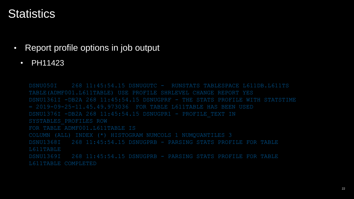- Report profile options in job output
	- PH11423

DSNU050I 268 11:45:54.15 DSNUGUTC - RUNSTATS TABLESPACE L611DB.L611TS TABLE(ADMF001.L611TABLE) USE PROFILE SHRLEVEL CHANGE REPORT YES DSNU1361I -DB2A 268 11:45:54.15 DSNUGPRF - THE STATS PROFILE WITH STATSTIME = 2019-09-25-11.45.49.973036 FOR TABLE L611TABLE HAS BEEN USED DSNU1376I -DB2A 268 11:45:54.15 DSNUGPR1 - PROFILE\_TEXT IN SYSTABLES\_PROFILES ROW FOR TABLE ADMF001 L611TABLE IS COLUMN (ALL) INDEX (\*) HISTOGRAM NUMCOLS 1 NUMQUANTILES 3 DSNU1368I 268 11:45:54.15 DSNUGPRB - PARSING STATS PROFILE FOR TABLE DSNU1369I 268 11:45:54.15 DSNUGPRB - PARSING STATS PROFILE FOR TABLE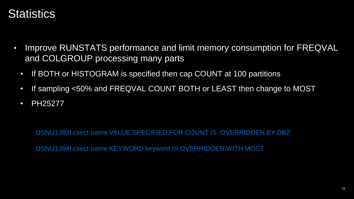- Improve RUNSTATS performance and limit memory consumption for FREQVAL and COLGROUP processing many parts
	- If BOTH or HISTOGRAM is specified then cap COUNT at 100 partitions
	- If sampling <50% and FREQVAL COUNT BOTH or LEAST then change to MOST
	- PH25277

DSNU1393I csect-name VALUE SPECIFIED FOR COUNT IS OVERRIDDEN BY DB2

DSNU1394I csect-name KEYWORD keyword IS OVERRIDDEN WITH MOST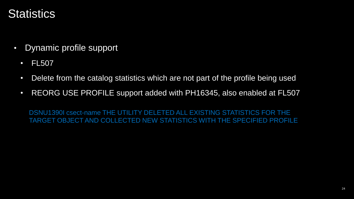- Dynamic profile support
	- FL507
	- Delete from the catalog statistics which are not part of the profile being used
	- REORG USE PROFILE support added with PH16345, also enabled at FL507

DSNU1390I csect-name THE UTILITY DELETED ALL EXISTING STATISTICS FOR THE TARGET OBJECT AND COLLECTED NEW STATISTICS WITH THE SPECIFIED PROFILE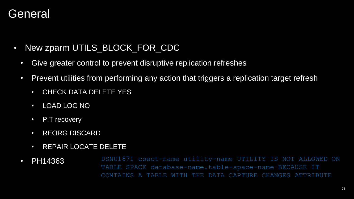#### **General**

- New zparm UTILS\_BLOCK\_FOR\_CDC
	- Give greater control to prevent disruptive replication refreshes
	- Prevent utilities from performing any action that triggers a replication target refresh
		- CHECK DATA DELETE YES
		- LOAD LOG NO
		- PIT recovery
		- REORG DISCARD
		- REPAIR LOCATE DELETE
	- PH14363 DSNU187I csect-name utility-name UTILITY IS NOT ALLOWED ON TABLE SPACE database-name.table-space-name BECAUSE IT TABLE WITH THE DATA CAPTURE CHANGES ATTRIBUTE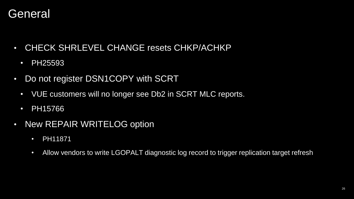#### **General**

- CHECK SHRLEVEL CHANGE resets CHKP/ACHKP
	- PH25593
- Do not register DSN1COPY with SCRT
	- VUE customers will no longer see Db2 in SCRT MLC reports.
	- PH15766
- New REPAIR WRITELOG option
	- PH11871
	- Allow vendors to write LGOPALT diagnostic log record to trigger replication target refresh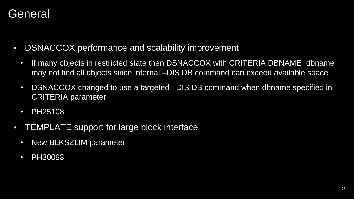#### **General**

- DSNACCOX performance and scalability improvement
	- If many objects in restricted state then DSNACCOX with CRITERIA DBNAME=dbname may not find all objects since internal –DIS DB command can exceed available space
	- DSNACCOX changed to use a targeted –DIS DB command when dbname specified in CRITERIA parameter
	- PH25108
- TEMPLATE support for large block interface
	- New BLKSZLIM parameter
	- **PH30093**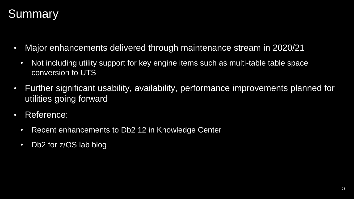

- Major enhancements delivered through maintenance stream in 2020/21
	- Not including utility support for key engine items such as multi-table table space conversion to UTS
- Further significant usability, availability, performance improvements planned for utilities going forward
- Reference:
	- Recent enhancements to Db2 12 in Knowledge Center
	- Db2 for z/OS lab blog